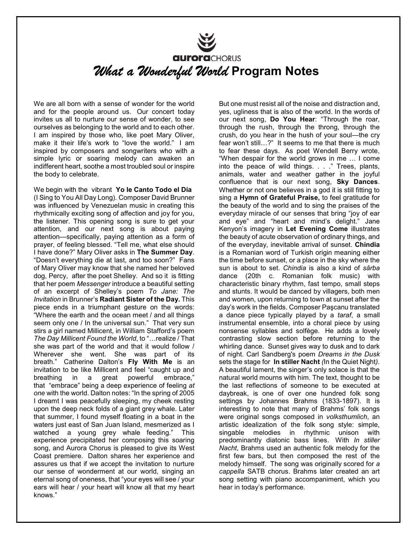## **aurora**CHORUS What a Wonderful World Program Notes

We are all born with a sense of wonder for the world and for the people around us. Our concert today invites us all to nurture our sense of wonder, to see ourselves as belonging to the world and to each other. I am inspired by those who, like poet Mary Oliver, make it their life's work to "love the world." I am inspired by composers and songwriters who with a simple lyric or soaring melody can awaken an indifferent heart, soothe a most troubled soul or inspire the body to celebrate.

We begin with the vibrant Yo le Canto Todo el Día (I Sing to You All Day Long). Composer David Brunner was influenced by Venezuelan music in creating this rhythmically exciting song of affection and joy for you, the listener. This opening song is sure to get your attention, and our next song is about paying attention—specifically, paying attention as a form of prayer, of feeling blessed. "Tell me, what else should I have done?" Mary Oliver asks in The Summer Day. "Doesn't everything die at last, and too soon?" Fans of Mary Oliver may know that she named her beloved dog, Percy, after the poet Shelley. And so it is fitting that her poem Messenger introduce a beautiful setting of an excerpt of Shelley's poem To Jane: The Invitation in Brunner's Radiant Sister of the Day. This piece ends in a triumphant gesture on the words: "Where the earth and the ocean meet / and all things seem only one / In the universal sun." That very sun stirs a girl named Millicent, in William Stafford's poem The Day Millicent Found the World, to "…realize / That she was part of the world and that it would follow / Wherever she went. She was part of its breath." Catherine Dalton's Fly With Me is an invitation to be like Millicent and feel "caught up and breathing in a great powerful embrace," that "embrace" being a deep experience of feeling at one with the world. Dalton notes: "In the spring of 2005 I dreamt I was peacefully sleeping, my cheek resting upon the deep neck folds of a giant grey whale. Later that summer, I found myself floating in a boat in the waters just east of San Juan Island, mesmerized as I watched a young grey whale feeding." This experience precipitated her composing this soaring song, and Aurora Chorus is pleased to give its West Coast premiere. Dalton shares her experience and assures us that if we accept the invitation to nurture our sense of wonderment at our world, singing an eternal song of oneness, that "your eyes will see / your ears will hear / your heart will know all that my heart knows."

But one must resist all of the noise and distraction and, yes, ugliness that is also of the world. In the words of our next song, Do You Hear: "Through the roar, through the rush, through the throng, through the crush, do you hear in the hush of your soul—the cry fear won't still…?" It seems to me that there is much to fear these days. As poet Wendell Berry wrote, "When despair for the world grows in me … I come into the peace of wild things. . . ." Trees, plants, animals, water and weather gather in the joyful confluence that is our next song, Sky Dances. Whether or not one believes in a god it is still fitting to sing a Hymn of Grateful Praise, to feel gratitude for the beauty of the world and to sing the praises of the everyday miracle of our senses that bring "joy of ear and eye" and "heart and mind's delight." Jane Kenyon's imagery in Let Evening Come illustrates the beauty of acute observation of ordinary things, and of the everyday, inevitable arrival of sunset. Chindia is a Romanian word of Turkish origin meaning either the time before sunset, or a place in the sky where the sun is about to set. Chindia is also a kind of sârba dance (20th c. Romanian folk music) with characteristic binary rhythm, fast tempo, small steps and stunts. It would be danced by villagers, both men and women, upon returning to town at sunset after the day's work in the fields. Composer Paşcanu translated a dance piece typically played by a taraf, a small instrumental ensemble, into a choral piece by using nonsense syllables and solfège. He adds a lovely contrasting slow section before returning to the whirling dance. Sunset gives way to dusk and to dark of night. Carl Sandberg's poem Dreams in the Dusk sets the stage for In stiller Nacht (In the Quiet Night). A beautiful lament, the singer's only solace is that the natural world mourns with him. The text, thought to be the last reflections of someone to be executed at daybreak, is one of over one hundred folk song settings by Johannes Brahms (1833-1897). It is interesting to note that many of Brahms' folk songs were original songs composed in volksthumlich, an artistic idealization of the folk song style: simple, singable melodies in rhythmic unison with predominantly diatonic bass lines. With In stiller Nacht, Brahms used an authentic folk melody for the first few bars, but then composed the rest of the melody himself. The song was originally scored for a cappella SATB chorus. Brahms later created an art song setting with piano accompaniment, which you hear in today's performance.